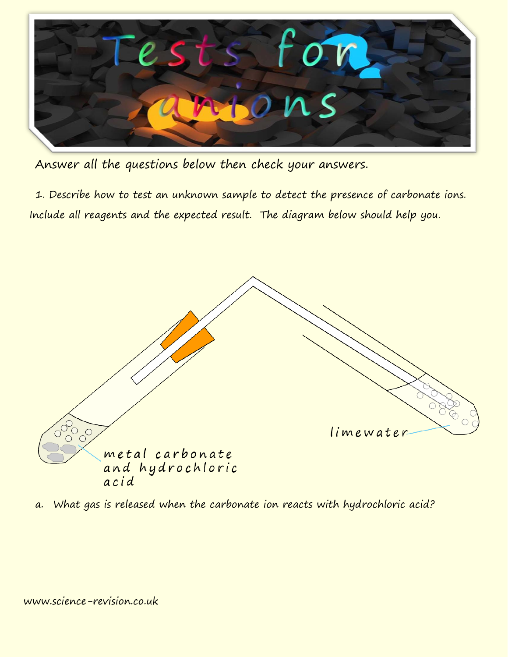

Answer all the questions below then check your answers.

1. Describe how to test an unknown sample to detect the presence of carbonate ions. Include all reagents and the expected result. The diagram below should help you.



a. What gas is released when the carbonate ion reacts with hydrochloric acid?

```
www.science-revision.co.uk
```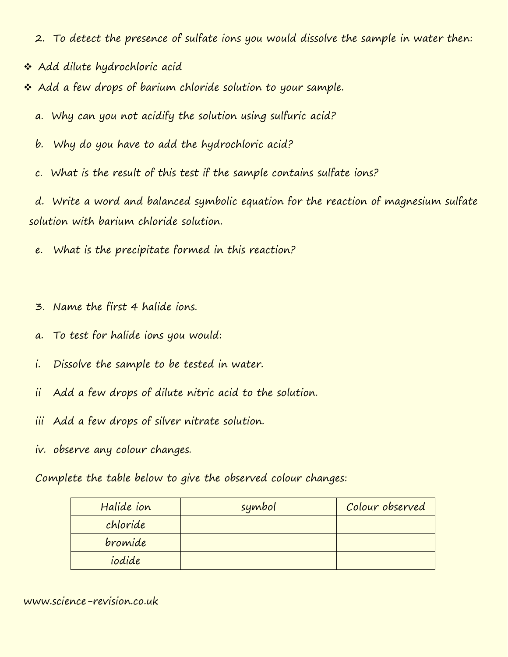- 2. To detect the presence of sulfate ions you would dissolve the sample in water then:
- \* Add dilute hydrochloric acid
- \* Add a few drops of barium chloride solution to your sample.
	- a. Why can you not acidify the solution using sulfuric acid?
	- b. Why do you have to add the hydrochloric acid?
	- c. What is the result of this test if the sample contains sulfate ions?

d. Write a word and balanced symbolic equation for the reaction of magnesium sulfate solution with barium chloride solution.

- e. What is the precipitate formed in this reaction?
- 3. Name the first 4 halide ions.
- a. To test for halide ions you would:
- i. Dissolve the sample to be tested in water.
- ii Add a few drops of dilute nitric acid to the solution.
- iii Add a few drops of silver nitrate solution.
- iv. observe any colour changes.

Complete the table below to give the observed colour changes:

| Halide ion | symbol | Colour observed |
|------------|--------|-----------------|
| chloride   |        |                 |
| bromide    |        |                 |
| iodide     |        |                 |

www.science-revision.co.uk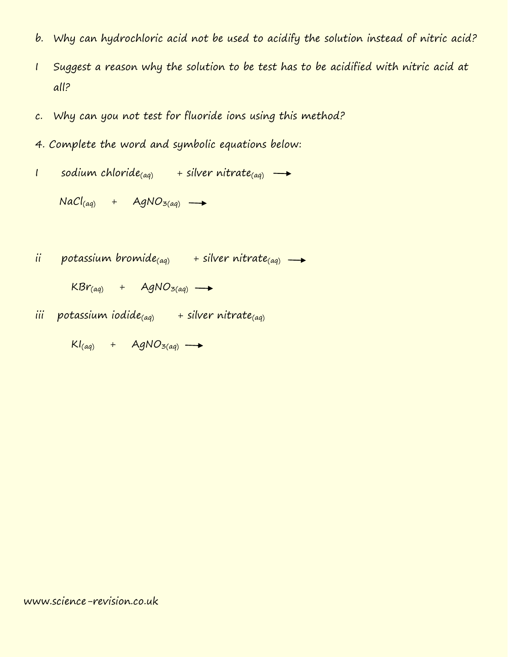- b. Why can hydrochloric acid not be used to acidify the solution instead of nitric acid?
- I Suggest a reason why the solution to be test has to be acidified with nitric acid at all?
- c. Why can you not test for fluoride ions using this method?
- 4. Complete the word and symbolic equations below:
- I sodium chloride<sub>(aq)</sub> + silver nitrate<sub>(aq)</sub>  $\rightarrow$

 $NaCl_{(aq)}$  + AgNO<sub>3(aq)</sub>  $\rightarrow$ 

- ii potassium bromide<sub>(aq)</sub> + silver nitrate<sub>(aq)</sub>  $\rightarrow$ 
	- $KBr_{(aq)}$  + AgNO<sub>3(aq)</sub>  $\rightarrow$
- iii potassium iodide<sub>(aq)</sub> + silver nitrate<sub>(aq)</sub>

 $Kl_{(aq)}$  + AgNO<sub>3(aq)</sub>  $\rightarrow$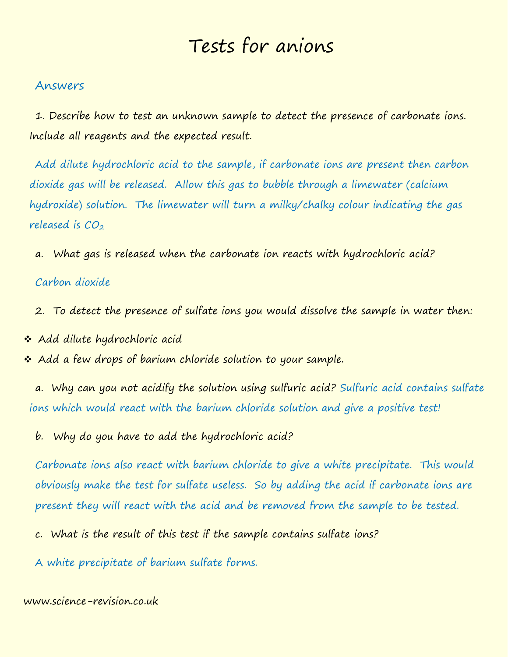# Tests for anions

## Answers

1. Describe how to test an unknown sample to detect the presence of carbonate ions. Include all reagents and the expected result.

Add dilute hydrochloric acid to the sample, if carbonate ions are present then carbon dioxide gas will be released. Allow this gas to bubble through a limewater (calcium hydroxide) solution. The limewater will turn a milky/chalky colour indicating the gas released is  $CO<sub>2</sub>$ 

a. What gas is released when the carbonate ion reacts with hydrochloric acid?

#### Carbon dioxide

- 2. To detect the presence of sulfate ions you would dissolve the sample in water then:
- \* Add dilute hydrochloric acid
- \* Add a few drops of barium chloride solution to your sample.

a. Why can you not acidify the solution using sulfuric acid? Sulfuric acid contains sulfate ions which would react with the barium chloride solution and give a positive test!

b. Why do you have to add the hydrochloric acid?

Carbonate ions also react with barium chloride to give a white precipitate. This would obviously make the test for sulfate useless. So by adding the acid if carbonate ions are present they will react with the acid and be removed from the sample to be tested.

- c. What is the result of this test if the sample contains sulfate ions?
- A white precipitate of barium sulfate forms.

## www.science-revision.co.uk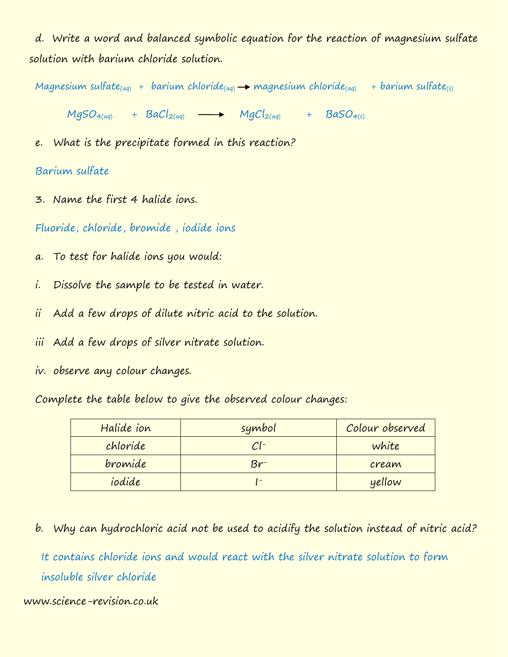d. Write a word and balanced symbolic equation for the reaction of magnesium sulfate solution with barium chloride solution.

Magnesium sulfate<sub>(aq)</sub> + barium chloride<sub>(aq)</sub>  $\rightarrow$  magnesium chloride<sub>(aq)</sub> + barium sulfate<sub>(s)</sub>

 $MgSO_{4(aq)}$  +  $BaCl_{2(aq)}$   $\longrightarrow$   $MgCl_{2(aq)}$  +  $BaSO_{4(s)}$ 

e. What is the precipitate formed in this reaction?

## Barium sulfate

3. Name the first 4 halide ions.

Fluoride, chloride, bromide , iodide ions

- a. To test for halide ions you would:
- i. Dissolve the sample to be tested in water.
- ii Add a few drops of dilute nitric acid to the solution.
- iii Add a few drops of silver nitrate solution.
- iv. observe any colour changes.

Complete the table below to give the observed colour changes:

| Halide ion | symbol | Colour observed |
|------------|--------|-----------------|
| chloride   | $Cl^-$ | white           |
| bromide    | Br-    | cream           |
| iodide     |        | yellow          |

b. Why can hydrochloric acid not be used to acidify the solution instead of nitric acid?

It contains chloride ions and would react with the silver nitrate solution to form insoluble silver chloride

## www.science-revision.co.uk